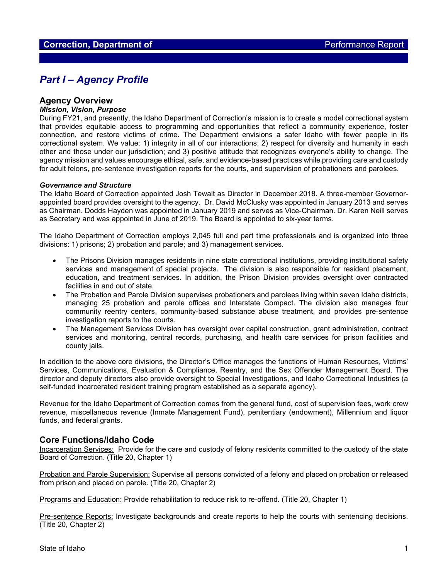# *Part I – Agency Profile*

## **Agency Overview**

#### *Mission, Vision, Purpose*

During FY21, and presently, the Idaho Department of Correction's mission is to create a model correctional system that provides equitable access to programming and opportunities that reflect a community experience, foster connection, and restore victims of crime. The Department envisions a safer Idaho with fewer people in its correctional system. We value: 1) integrity in all of our interactions; 2) respect for diversity and humanity in each other and those under our jurisdiction; and 3) positive attitude that recognizes everyone's ability to change. The agency mission and values encourage ethical, safe, and evidence-based practices while providing care and custody for adult felons, pre-sentence investigation reports for the courts, and supervision of probationers and parolees.

#### *Governance and Structure*

The Idaho Board of Correction appointed Josh Tewalt as Director in December 2018. A three-member Governorappointed board provides oversight to the agency. Dr. David McClusky was appointed in January 2013 and serves as Chairman. Dodds Hayden was appointed in January 2019 and serves as Vice-Chairman. Dr. Karen Neill serves as Secretary and was appointed in June of 2019. The Board is appointed to six-year terms.

The Idaho Department of Correction employs 2,045 full and part time professionals and is organized into three divisions: 1) prisons; 2) probation and parole; and 3) management services.

- The Prisons Division manages residents in nine state correctional institutions, providing institutional safety services and management of special projects. The division is also responsible for resident placement, education, and treatment services. In addition, the Prison Division provides oversight over contracted facilities in and out of state.
- The Probation and Parole Division supervises probationers and parolees living within seven Idaho districts, managing 25 probation and parole offices and Interstate Compact. The division also manages four community reentry centers, community-based substance abuse treatment, and provides pre-sentence investigation reports to the courts.
- The Management Services Division has oversight over capital construction, grant administration, contract services and monitoring, central records, purchasing, and health care services for prison facilities and county jails.

In addition to the above core divisions, the Director's Office manages the functions of Human Resources, Victims' Services, Communications, Evaluation & Compliance, Reentry, and the Sex Offender Management Board. The director and deputy directors also provide oversight to Special Investigations, and Idaho Correctional Industries (a self-funded incarcerated resident training program established as a separate agency).

Revenue for the Idaho Department of Correction comes from the general fund, cost of supervision fees, work crew revenue, miscellaneous revenue (Inmate Management Fund), penitentiary (endowment), Millennium and liquor funds, and federal grants.

## **Core Functions/Idaho Code**

Incarceration Services: Provide for the care and custody of felony residents committed to the custody of the state Board of Correction. (Title 20, Chapter 1)

Probation and Parole Supervision: Supervise all persons convicted of a felony and placed on probation or released from prison and placed on parole. (Title 20, Chapter 2)

Programs and Education: Provide rehabilitation to reduce risk to re-offend. (Title 20, Chapter 1)

Pre-sentence Reports: Investigate backgrounds and create reports to help the courts with sentencing decisions. (Title 20, Chapter 2)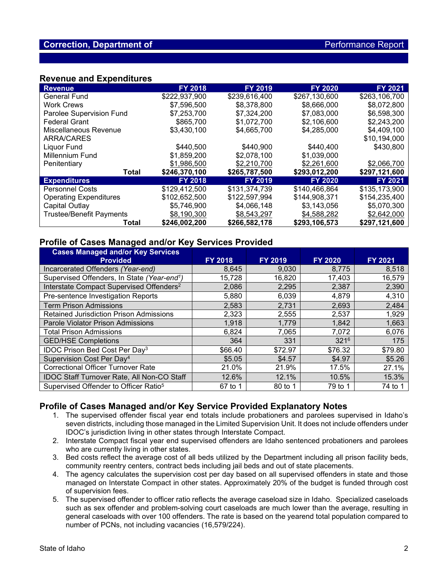# **Revenue and Expenditures**

| <b>Revenue</b>                  | <b>FY 2018</b> | <b>FY 2019</b>             | <b>FY 2020</b> | <b>FY 2021</b> |
|---------------------------------|----------------|----------------------------|----------------|----------------|
| <b>General Fund</b>             | \$222,937,900  | \$239,616,400              | \$267.130.600  | \$263,106,700  |
| <b>Work Crews</b>               | \$7,596,500    | \$8,378,800                | \$8,666,000    | \$8,072,800    |
| Parolee Supervision Fund        | \$7,253,700    | \$7,324,200                | \$7,083,000    | \$6,598,300    |
| <b>Federal Grant</b>            | \$865,700      | \$1,072,700<br>\$2,106,600 |                | \$2,243,200    |
| Miscellaneous Revenue           | \$3,430,100    | \$4,665,700                | \$4,285,000    | \$4,409,100    |
| <b>ARRA/CARES</b>               |                |                            |                | \$10,194,000   |
| Liquor Fund                     | \$440.500      | \$440,900                  | \$440,400      | \$430,800      |
| Millennium Fund                 | \$1,859,200    | \$2,078,100                | \$1,039,000    |                |
| Penitentiary                    | \$1,986,500    | \$2,210,700                | \$2,261,600    | \$2,066,700    |
| Total                           | \$246,370,100  | \$265,787,500              | \$293,012,200  | \$297,121,600  |
| <b>Expenditures</b>             | <b>FY 2018</b> | <b>FY 2019</b>             | <b>FY 2020</b> | <b>FY 2021</b> |
| <b>Personnel Costs</b>          | \$129,412,500  | \$131,374,739              | \$140,466,864  | \$135,173,900  |
| <b>Operating Expenditures</b>   | \$102,652,500  | \$122,597,994              | \$144,908,371  | \$154,235,400  |
| Capital Outlay                  | \$5,746,900    | \$4,066,148                | \$3,143,056    | \$5,070,300    |
| <b>Trustee/Benefit Payments</b> | \$8,190,300    | \$8,543,297                | \$4,588,282    | \$2,642,000    |
| Total                           | \$246,002,200  | \$266,582,178              | \$293,106,573  | \$297,121,600  |

# **Profile of Cases Managed and/or Key Services Provided**

| <b>Cases Managed and/or Key Services</b><br><b>Provided</b> | <b>FY 2018</b> | <b>FY 2019</b> | <b>FY 2020</b> | <b>FY 2021</b> |
|-------------------------------------------------------------|----------------|----------------|----------------|----------------|
| Incarcerated Offenders (Year-end)                           | 8,645          | 9,030          | 8,775          | 8,518          |
| Supervised Offenders, In State (Year-end <sup>1</sup> )     | 15,728         | 16,820         | 17,403         | 16,579         |
| Interstate Compact Supervised Offenders <sup>2</sup>        | 2,086          | 2,295          | 2,387          | 2,390          |
| Pre-sentence Investigation Reports                          | 5,880          | 6,039          | 4,879          | 4,310          |
| <b>Term Prison Admissions</b>                               | 2,583          | 2,731          | 2,693          | 2,484          |
| <b>Retained Jurisdiction Prison Admissions</b>              | 2,323          | 2,555          | 2,537          | 1,929          |
| <b>Parole Violator Prison Admissions</b>                    | 1,918          | 1,779          | 1,842          | 1,663          |
| <b>Total Prison Admissions</b>                              | 6,824          | 7,065          | 7,072          | 6,076          |
| <b>GED/HSE Completions</b>                                  | 364            | 331            | $321^{6}$      | 175            |
| IDOC Prison Bed Cost Per Day <sup>3</sup>                   | \$66.40        | \$72.97        | \$76.32        | \$79.80        |
| Supervision Cost Per Day <sup>4</sup>                       | \$5.05         | \$4.57         | \$4.97         | \$5.26         |
| <b>Correctional Officer Turnover Rate</b>                   | 21.0%          | 21.9%          | 17.5%          | 27.1%          |
| <b>IDOC Staff Turnover Rate, All Non-CO Staff</b>           | 12.6%          | 12.1%          | 10.5%          | 15.3%          |
| Supervised Offender to Officer Ratio <sup>5</sup>           | 67 to 1        | 80 to 1        | 79 to 1        | 74 to 1        |

# **Profile of Cases Managed and/or Key Service Provided Explanatory Notes**

- 1. The supervised offender fiscal year end totals include probationers and parolees supervised in Idaho's seven districts, including those managed in the Limited Supervision Unit. It does not include offenders under IDOC's jurisdiction living in other states through Interstate Compact.
- 2. Interstate Compact fiscal year end supervised offenders are Idaho sentenced probationers and parolees who are currently living in other states.
- 3. Bed costs reflect the average cost of all beds utilized by the Department including all prison facility beds, community reentry centers, contract beds including jail beds and out of state placements.
- 4. The agency calculates the supervision cost per day based on all supervised offenders in state and those managed on Interstate Compact in other states. Approximately 20% of the budget is funded through cost of supervision fees.
- 5. The supervised offender to officer ratio reflects the average caseload size in Idaho. Specialized caseloads such as sex offender and problem-solving court caseloads are much lower than the average, resulting in general caseloads with over 100 offenders. The rate is based on the yearend total population compared to number of PCNs, not including vacancies (16,579/224).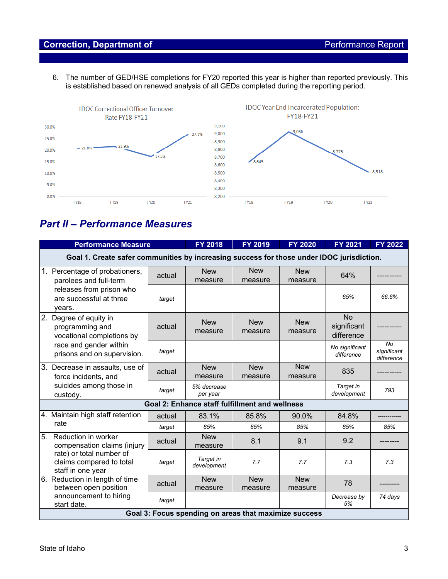# **Correction, Department of Correction, Department of Performance Report**

6. The number of GED/HSE completions for FY20 reported this year is higher than reported previously. This is established based on renewed analysis of all GEDs completed during the reporting period.



# *Part II – Performance Measures*

| <b>Performance Measure</b>                                                                                                            | <b>FY 2018</b> | <b>FY 2019</b>                                 | <b>FY 2020</b>        | <b>FY 2021</b>        | <b>FY 2022</b>                         |                                        |  |  |
|---------------------------------------------------------------------------------------------------------------------------------------|----------------|------------------------------------------------|-----------------------|-----------------------|----------------------------------------|----------------------------------------|--|--|
| Goal 1. Create safer communities by increasing success for those under IDOC jurisdiction.                                             |                |                                                |                       |                       |                                        |                                        |  |  |
| 1. Percentage of probationers,<br>parolees and full-term                                                                              | actual         | <b>New</b><br>measure                          | <b>New</b><br>measure | <b>New</b><br>measure | 64%                                    |                                        |  |  |
| releases from prison who<br>are successful at three<br>years.                                                                         | target         |                                                |                       |                       | 65%                                    | 66.6%                                  |  |  |
| 2.<br>Degree of equity in<br>programming and<br>vocational completions by<br>race and gender within<br>prisons and on supervision.    | actual         | <b>New</b><br>measure                          | <b>New</b><br>measure | <b>New</b><br>measure | <b>No</b><br>significant<br>difference |                                        |  |  |
|                                                                                                                                       | target         |                                                |                       |                       | No significant<br>difference           | <b>No</b><br>significant<br>difference |  |  |
| 3.<br>Decrease in assaults, use of<br>force incidents, and<br>suicides among those in<br>custody.                                     | actual         | <b>New</b><br>measure                          | <b>New</b><br>measure | <b>New</b><br>measure | 835                                    |                                        |  |  |
|                                                                                                                                       | target         | 5% decrease<br>per year                        |                       |                       | Target in<br>development               | 793                                    |  |  |
|                                                                                                                                       |                | Goal 2: Enhance staff fulfillment and wellness |                       |                       |                                        |                                        |  |  |
| 4. Maintain high staff retention                                                                                                      | actual         | 83.1%                                          | 85.8%                 | 90.0%                 | 84.8%                                  |                                        |  |  |
| rate                                                                                                                                  | target         | 85%                                            | 85%                   | 85%                   | 85%                                    | 85%                                    |  |  |
| 5.<br>Reduction in worker<br>compensation claims (injury<br>rate) or total number of<br>claims compared to total<br>staff in one year | actual         | <b>New</b><br>measure                          | 8.1                   | 9.1                   | 9.2                                    |                                        |  |  |
|                                                                                                                                       | target         | Target in<br>development                       | 7.7                   | 7.7                   | 7.3                                    | 7.3                                    |  |  |
| 6. Reduction in length of time<br>between open position                                                                               | actual         | <b>New</b><br>measure                          | <b>New</b><br>measure | <b>New</b><br>measure | 78                                     |                                        |  |  |
| announcement to hiring<br>start date.                                                                                                 | target         |                                                |                       |                       | Decrease by<br>5%                      | 74 days                                |  |  |
| Goal 3: Focus spending on areas that maximize success                                                                                 |                |                                                |                       |                       |                                        |                                        |  |  |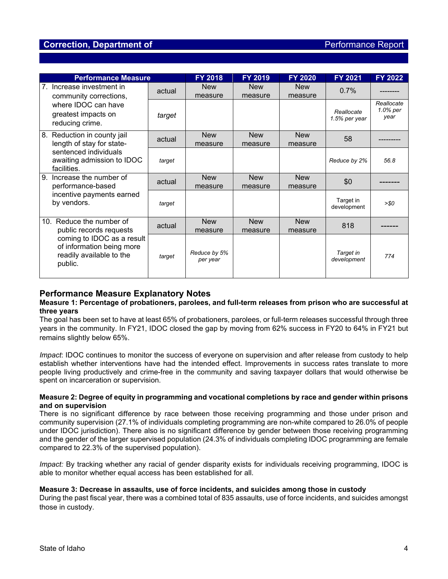# **Correction, Department of** *Performance Report* **Correction, Department of** *Performance Report*

| <b>Performance Measure</b>                                                                                                                               |        | <b>FY 2018</b>           | <b>FY 2019</b>        | <b>FY 2020</b>        | FY 2021                     | <b>FY 2022</b>                 |
|----------------------------------------------------------------------------------------------------------------------------------------------------------|--------|--------------------------|-----------------------|-----------------------|-----------------------------|--------------------------------|
| Increase investment in<br>$7_{\scriptscriptstyle{\sim}}$<br>community corrections,<br>where IDOC can have<br>greatest impacts on<br>reducing crime.      | actual | <b>New</b><br>measure    | <b>New</b><br>measure | <b>New</b><br>measure | 0.7%                        |                                |
|                                                                                                                                                          | target |                          |                       |                       | Reallocate<br>1.5% per year | Reallocate<br>1.0% per<br>year |
| Reduction in county jail<br>8.<br>length of stay for state-<br>sentenced individuals<br>awaiting admission to IDOC<br>facilities.                        | actual | <b>New</b><br>measure    | <b>New</b><br>measure | <b>New</b><br>measure | 58                          |                                |
|                                                                                                                                                          | target |                          |                       |                       | Reduce by 2%                | 568                            |
| 9.<br>Increase the number of<br>performance-based<br>incentive payments earned<br>by vendors.                                                            | actual | <b>New</b><br>measure    | <b>New</b><br>measure | <b>New</b><br>measure | \$0                         |                                |
|                                                                                                                                                          | target |                          |                       |                       | Target in<br>development    | >SO                            |
| Reduce the number of<br>10.<br>public records requests<br>coming to IDOC as a result<br>of information being more<br>readily available to the<br>public. | actual | <b>New</b><br>measure    | <b>New</b><br>measure | <b>New</b><br>measure | 818                         |                                |
|                                                                                                                                                          | target | Reduce by 5%<br>per year |                       |                       | Target in<br>development    | 774                            |

# **Performance Measure Explanatory Notes**

#### **Measure 1: Percentage of probationers, parolees, and full-term releases from prison who are successful at three years**

The goal has been set to have at least 65% of probationers, parolees, or full-term releases successful through three years in the community. In FY21, IDOC closed the gap by moving from 62% success in FY20 to 64% in FY21 but remains slightly below 65%.

*Impact*: IDOC continues to monitor the success of everyone on supervision and after release from custody to help establish whether interventions have had the intended effect. Improvements in success rates translate to more people living productively and crime-free in the community and saving taxpayer dollars that would otherwise be spent on incarceration or supervision.

#### **Measure 2: Degree of equity in programming and vocational completions by race and gender within prisons and on supervision**

There is no significant difference by race between those receiving programming and those under prison and community supervision (27.1% of individuals completing programming are non-white compared to 26.0% of people under IDOC jurisdiction). There also is no significant difference by gender between those receiving programming and the gender of the larger supervised population (24.3% of individuals completing IDOC programming are female compared to 22.3% of the supervised population).

*Impact:* By tracking whether any racial of gender disparity exists for individuals receiving programming, IDOC is able to monitor whether equal access has been established for all.

#### **Measure 3: Decrease in assaults, use of force incidents, and suicides among those in custody**

During the past fiscal year, there was a combined total of 835 assaults, use of force incidents, and suicides amongst those in custody.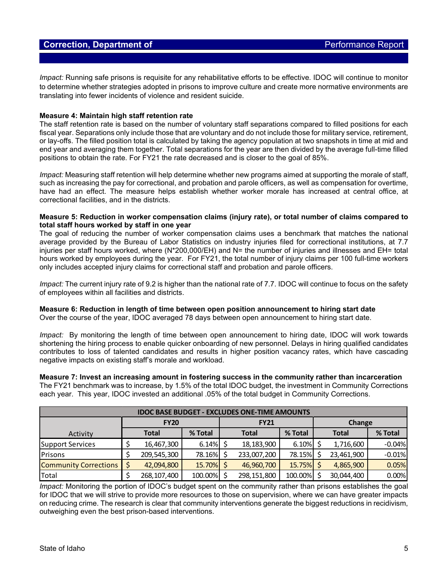*Impact:* Running safe prisons is requisite for any rehabilitative efforts to be effective*.* IDOC will continue to monitor to determine whether strategies adopted in prisons to improve culture and create more normative environments are translating into fewer incidents of violence and resident suicide.

#### **Measure 4: Maintain high staff retention rate**

The staff retention rate is based on the number of voluntary staff separations compared to filled positions for each fiscal year. Separations only include those that are voluntary and do not include those for military service, retirement, or lay-offs. The filled position total is calculated by taking the agency population at two snapshots in time at mid and end year and averaging them together. Total separations for the year are then divided by the average full-time filled positions to obtain the rate. For FY21 the rate decreased and is closer to the goal of 85%.

*Impact:* Measuring staff retention will help determine whether new programs aimed at supporting the morale of staff, such as increasing the pay for correctional, and probation and parole officers, as well as compensation for overtime, have had an effect. The measure helps establish whether worker morale has increased at central office, at correctional facilities, and in the districts.

#### **Measure 5: Reduction in worker compensation claims (injury rate), or total number of claims compared to total staff hours worked by staff in one year**

The goal of reducing the number of worker compensation claims uses a benchmark that matches the national average provided by the Bureau of Labor Statistics on industry injuries filed for correctional institutions, at 7.7 injuries per staff hours worked, where (N\*200,000/EH) and N= the number of injuries and illnesses and EH= total hours worked by employees during the year. For FY21, the total number of injury claims per 100 full-time workers only includes accepted injury claims for correctional staff and probation and parole officers.

*Impact:* The current injury rate of 9.2 is higher than the national rate of 7.7. IDOC will continue to focus on the safety of employees within all facilities and districts.

#### **Measure 6: Reduction in length of time between open position announcement to hiring start date**

Over the course of the year, IDOC averaged 78 days between open announcement to hiring start date.

*Impact:* By monitoring the length of time between open announcement to hiring date, IDOC will work towards shortening the hiring process to enable quicker onboarding of new personnel. Delays in hiring qualified candidates contributes to loss of talented candidates and results in higher position vacancy rates, which have cascading negative impacts on existing staff's morale and workload.

**Measure 7: Invest an increasing amount in fostering success in the community rather than incarceration** The FY21 benchmark was to increase, by 1.5% of the total IDOC budget, the investment in Community Corrections each year. This year, IDOC invested an additional .05% of the total budget in Community Corrections.

| <b>IDOC BASE BUDGET - EXCLUDES ONE-TIME AMOUNTS</b> |             |              |             |  |              |              |  |              |          |
|-----------------------------------------------------|-------------|--------------|-------------|--|--------------|--------------|--|--------------|----------|
|                                                     | <b>FY20</b> |              | <b>FY21</b> |  |              | Change       |  |              |          |
| Activity                                            |             | <b>Total</b> | % Total     |  | <b>Total</b> | % Total      |  | <b>Total</b> | % Total  |
| Support Services                                    |             | 16,467,300   | $6.14\%$ \$ |  | 18,183,900   | $6.10\%$ \$  |  | 1,716,600    | $-0.04%$ |
| Prisons                                             |             | 209,545,300  | 78.16%      |  | 233,007,200  | 78.15%       |  | 23,461,900   | $-0.01%$ |
| <b>Community Corrections</b>                        |             | 42,094,800   | 15.70% \$   |  | 46,960,700   | $15.75\%$ \$ |  | 4,865,900    | 0.05%    |
| Total                                               |             | 268,107,400  | 100.00%     |  | 298,151,800  | 100.00%      |  | 30,044,400   | 0.00%    |

*Impact:* Monitoring the portion of IDOC's budget spent on the community rather than prisons establishes the goal for IDOC that we will strive to provide more resources to those on supervision, where we can have greater impacts on reducing crime. The research is clear that community interventions generate the biggest reductions in recidivism, outweighing even the best prison-based interventions.